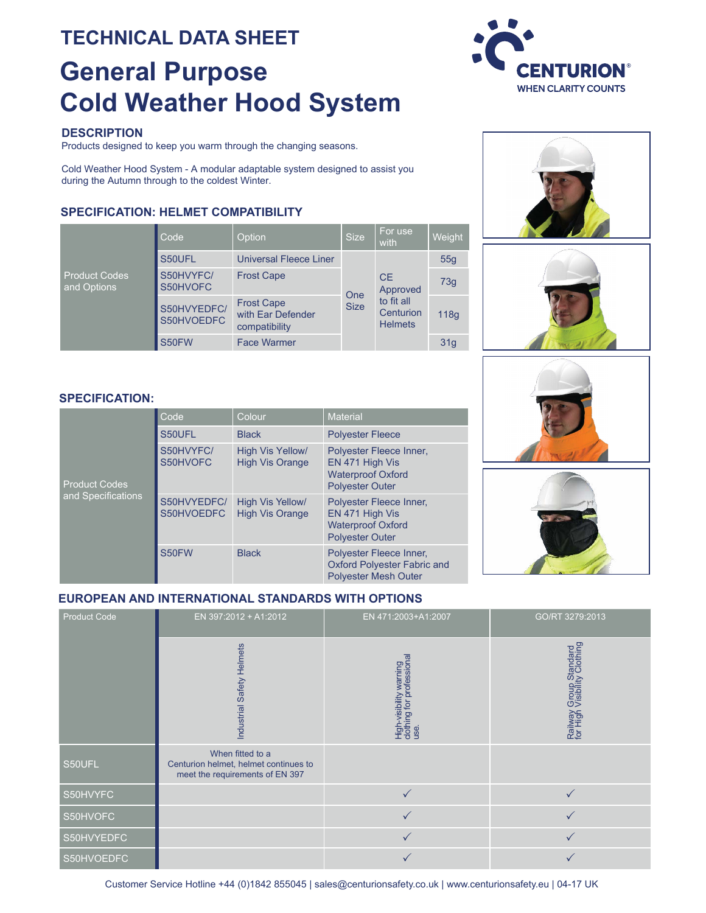# **TECHNICAL DATA SHEET General Purpose Cold Weather Hood System**

## **DESCRIPTION**

Products designed to keep you warm through the changing seasons.

Cold Weather Hood System - A modular adaptable system designed to assist you during the Autumn through to the coldest Winter.

# **SPECIFICATION: HELMET COMPATIBILITY**

| <b>Product Codes</b><br>and Options | Code                      | Option                                                  | <b>Size</b>        | For use<br>with                                                    | Weight          |
|-------------------------------------|---------------------------|---------------------------------------------------------|--------------------|--------------------------------------------------------------------|-----------------|
|                                     | S50UFL                    | <b>Universal Fleece Liner</b>                           | One<br><b>Size</b> | <b>CE</b><br>Approved<br>to fit all<br>Centurion<br><b>Helmets</b> | 55 <sub>q</sub> |
|                                     | S50HVYFC/<br>S50HVOFC     | <b>Frost Cape</b>                                       |                    |                                                                    | 73g             |
|                                     | S50HVYEDFC/<br>S50HVOEDFC | <b>Frost Cape</b><br>with Ear Defender<br>compatibility |                    |                                                                    | 118g            |
|                                     | S50FW                     | <b>Face Warmer</b>                                      |                    |                                                                    | 31q             |











| <b>Product Codes</b><br>and Specifications | Code                      | Colour                                     | <b>Material</b>                                                                                  |  |
|--------------------------------------------|---------------------------|--------------------------------------------|--------------------------------------------------------------------------------------------------|--|
|                                            | S50UFL                    | <b>Black</b>                               | <b>Polyester Fleece</b>                                                                          |  |
|                                            | S50HVYFC/<br>S50HVOFC     | High Vis Yellow/<br><b>High Vis Orange</b> | Polyester Fleece Inner,<br>EN 471 High Vis<br><b>Waterproof Oxford</b><br><b>Polyester Outer</b> |  |
|                                            | S50HVYEDFC/<br>S50HVOEDFC | High Vis Yellow/<br><b>High Vis Orange</b> | Polyester Fleece Inner,<br>EN 471 High Vis<br><b>Waterproof Oxford</b><br><b>Polyester Outer</b> |  |
|                                            | S50FW                     | <b>Black</b>                               | Polyester Fleece Inner,<br><b>Oxford Polyester Fabric and</b><br><b>Polyester Mesh Outer</b>     |  |



## **EUROPEAN AND INTERNATIONAL STANDARDS WITH OPTIONS**

| <b>Product Code</b> | EN 397:2012 + A1:2012                                                                        | EN 471:2003+A1:2007                                         | GO/RT 3279:2013                                        |
|---------------------|----------------------------------------------------------------------------------------------|-------------------------------------------------------------|--------------------------------------------------------|
|                     | Industrial Safety Helmets                                                                    | High-visibility warning<br>dothing for professional<br>use. | Railway Group Standard<br>for High Visibility Clothing |
| S50UFL              | When fitted to a<br>Centurion helmet, helmet continues to<br>meet the requirements of EN 397 |                                                             |                                                        |
| S50HVYFC            |                                                                                              |                                                             |                                                        |
| S50HVOFC            |                                                                                              |                                                             | $\checkmark$                                           |
| S50HVYEDFC          |                                                                                              | $\checkmark$                                                | $\checkmark$                                           |
| S50HVOEDFC          |                                                                                              |                                                             |                                                        |